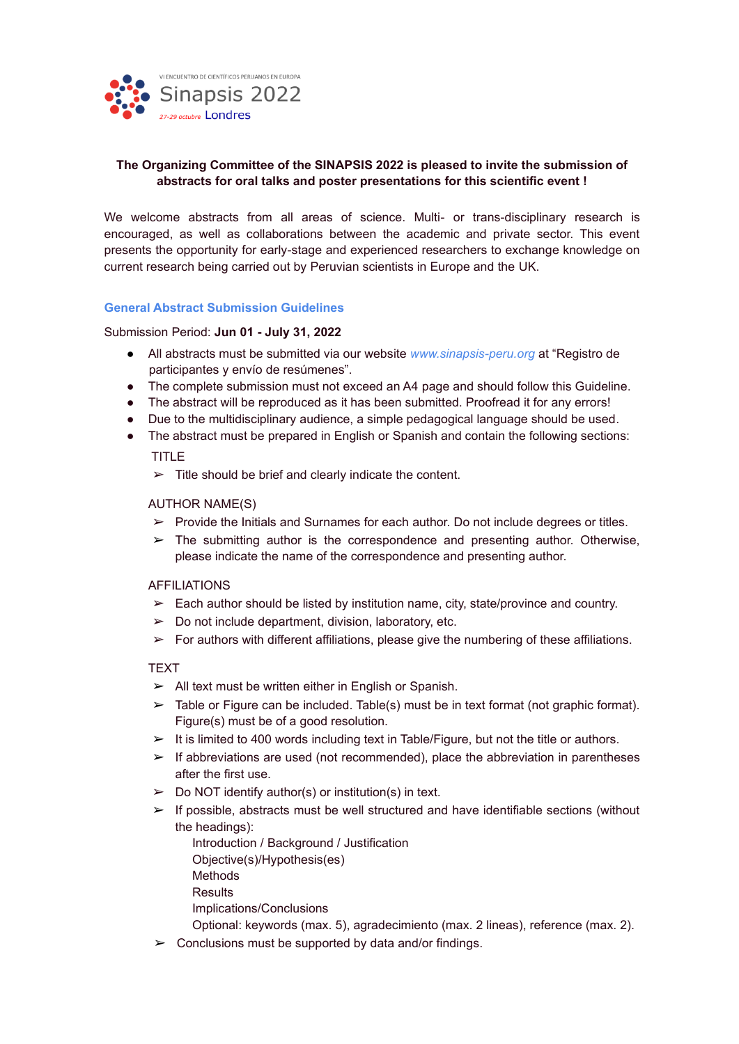

#### **The Organizing Committee of the SINAPSIS 2022 is pleased to invite the submission of abstracts for oral talks and poster presentations for this scientific event !**

We welcome abstracts from all areas of science. Multi- or trans-disciplinary research is encouraged, as well as collaborations between the academic and private sector. This event presents the opportunity for early-stage and experienced researchers to exchange knowledge on current research being carried out by Peruvian scientists in Europe and the UK.

#### **General Abstract Submission Guidelines**

Submission Period: **Jun 01 - July 31, 2022**

- All abstracts must be submitted via our website *www.sinapsis-peru.org* at "Registro de participantes y envío de resúmenes".
- The complete submission must not exceed an A4 page and should follow this Guideline.
- The abstract will be reproduced as it has been submitted. Proofread it for any errors!
- Due to the multidisciplinary audience, a simple pedagogical language should be used.
- The abstract must be prepared in English or Spanish and contain the following sections: TITLE

 $\triangleright$  Title should be brief and clearly indicate the content.

#### AUTHOR NAME(S)

- $\triangleright$  Provide the Initials and Surnames for each author. Do not include degrees or titles.
- $\triangleright$  The submitting author is the correspondence and presenting author. Otherwise, please indicate the name of the correspondence and presenting author.

#### AFFILIATIONS

- $\triangleright$  Each author should be listed by institution name, city, state/province and country.
- $\geq$  Do not include department, division, laboratory, etc.
- $\triangleright$  For authors with different affiliations, please give the numbering of these affiliations.

#### **TEXT**

- $\triangleright$  All text must be written either in English or Spanish.
- $\triangleright$  Table or Figure can be included. Table(s) must be in text format (not graphic format). Figure(s) must be of a good resolution.
- ➢ It is limited to 400 words including text in Table/Figure, but not the title or authors.
- $\triangleright$  If abbreviations are used (not recommended), place the abbreviation in parentheses after the first use.
- $\triangleright$  Do NOT identify author(s) or institution(s) in text.
- $\triangleright$  If possible, abstracts must be well structured and have identifiable sections (without the headings):
	- Introduction / Background / Justification
	- Objective(s)/Hypothesis(es)
	- **Methods**
	- **Results**
	- Implications/Conclusions
	- Optional: keywords (max. 5), agradecimiento (max. 2 lineas), reference (max. 2).
- $\geq$  Conclusions must be supported by data and/or findings.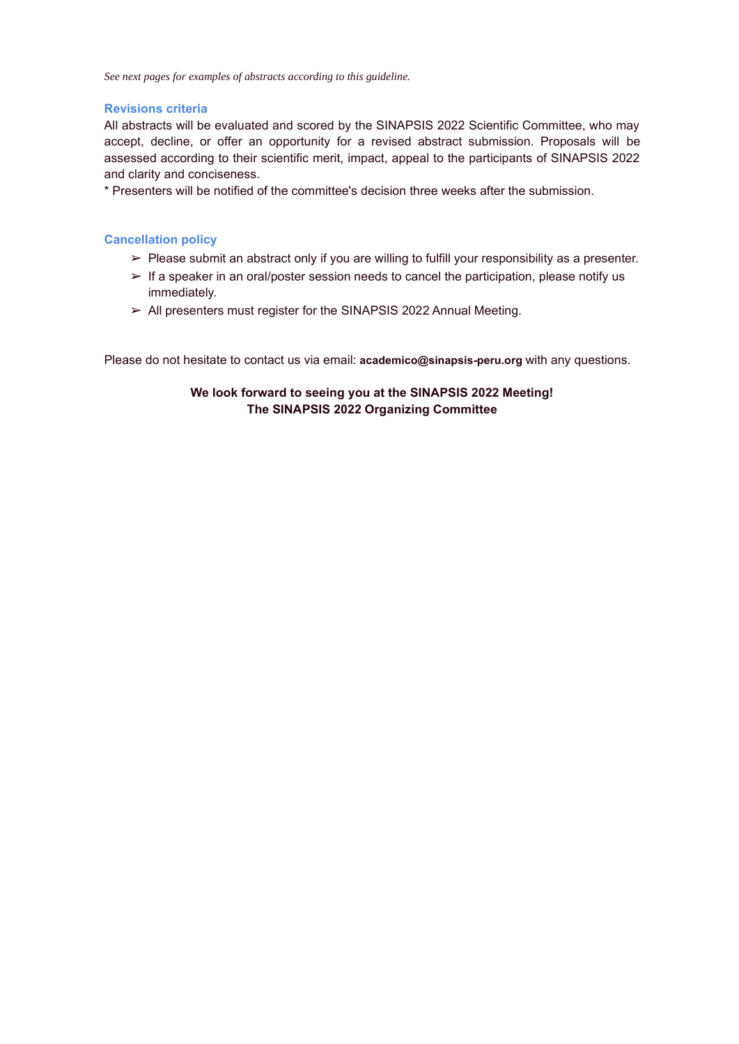*See next pages for examples of abstracts according to this guideline.*

#### **Revisions criteria**

All abstracts will be evaluated and scored by the SINAPSIS 2022 Scientific Committee, who may accept, decline, or offer an opportunity for a revised abstract submission. Proposals will be assessed according to their scientific merit, impact, appeal to the participants of SINAPSIS 2022 and clarity and conciseness.

\* Presenters will be notified of the committee's decision three weeks after the submission.

#### **Cancellation policy**

- $\triangleright$  Please submit an abstract only if you are willing to fulfill your responsibility as a presenter.
- $\triangleright$  If a speaker in an oral/poster session needs to cancel the participation, please notify us immediately.
- ➢ All presenters must register for the SINAPSIS 2022 Annual Meeting.

Please do not hesitate to contact us via email: **academico@sinapsis-peru.org** with any questions.

#### **We look forward to seeing you at the SINAPSIS 2022 Meeting! The SINAPSIS 2022 Organizing Committee**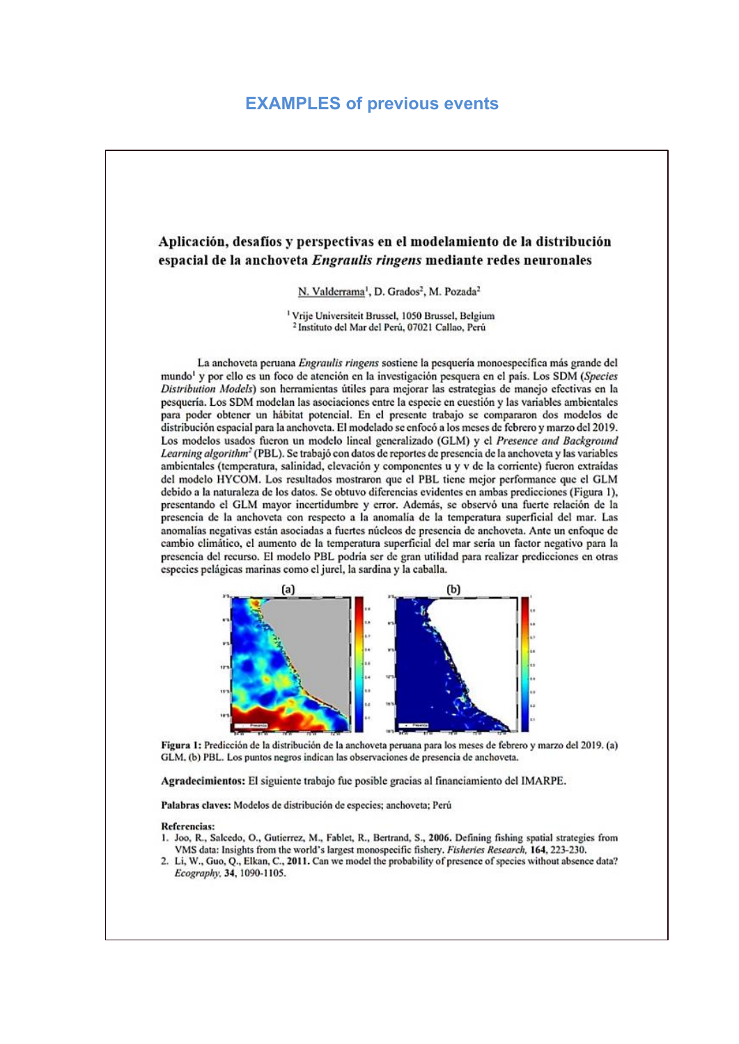## **EXAMPLES of previous events**

#### Aplicación, desafíos y perspectivas en el modelamiento de la distribución espacial de la anchoveta Engraulis ringens mediante redes neuronales

N. Valderrama<sup>1</sup>, D. Grados<sup>2</sup>, M. Pozada<sup>2</sup>

<sup>1</sup> Vrije Universiteit Brussel, 1050 Brussel, Belgium <sup>2</sup> Instituto del Mar del Perú, 07021 Callao, Perú

La anchoveta peruana Engraulis ringens sostiene la pesquería monoespecífica más grande del mundo<sup>1</sup> y por ello es un foco de atención en la investigación pesquera en el país. Los SDM (Species Distribution Models) son herramientas útiles para mejorar las estrategias de manejo efectivas en la pesquería. Los SDM modelan las asociaciones entre la especie en cuestión y las variables ambientales para poder obtener un hábitat potencial. En el presente trabajo se compararon dos modelos de distribución espacial para la anchoveta. El modelado se enfocó a los meses de febrero y marzo del 2019. Los modelos usados fueron un modelo lineal generalizado (GLM) y el Presence and Background Learning algorithm<sup>2</sup> (PBL). Se trabajó con datos de reportes de presencia de la anchoveta y las variables ambientales (temperatura, salinidad, elevación y componentes u y v de la corriente) fueron extraídas del modelo HYCOM. Los resultados mostraron que el PBL tiene mejor performance que el GLM debido a la naturaleza de los datos. Se obtuvo diferencias evidentes en ambas predicciones (Figura 1), presentando el GLM mayor incertidumbre y error. Además, se observó una fuerte relación de la presencia de la anchoveta con respecto a la anomalía de la temperatura superficial del mar. Las anomalías negativas están asociadas a fuertes núcleos de presencia de anchoveta. Ante un enfoque de cambio climático, el aumento de la temperatura superficial del mar sería un factor negativo para la presencia del recurso. El modelo PBL podría ser de gran utilidad para realizar predicciones en otras especies pelágicas marinas como el jurel, la sardina y la caballa.



Figura 1: Predicción de la distribución de la anchoveta peruana para los meses de febrero y marzo del 2019. (a) GLM, (b) PBL. Los puntos negros indican las observaciones de presencia de anchoveta.

Agradecimientos: El siguiente trabajo fue posible gracias al financiamiento del IMARPE.

Palabras claves: Modelos de distribución de especies; anchoveta; Perú

#### **Referencias:**

- 1. Joo, R., Salcedo, O., Gutierrez, M., Fablet, R., Bertrand, S., 2006. Defining fishing spatial strategies from VMS data: Insights from the world's largest monospecific fishery. Fisheries Research, 164, 223-230.
- 2. Li, W., Guo, Q., Elkan, C., 2011. Can we model the probability of presence of species without absence data? Ecography, 34, 1090-1105.